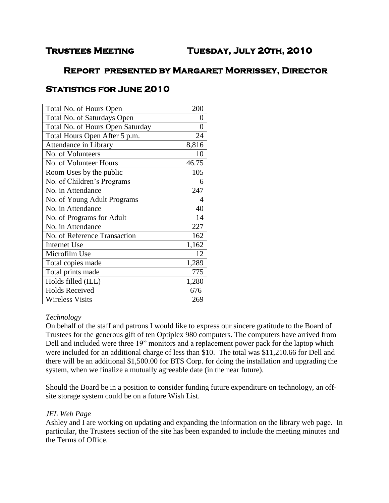# **Trustees Meeting Tuesday, July 20th, 2010**

# **Report presented by Margaret Morrissey, Director**

# **Statistics for June 2010**

| Total No. of Hours Open          |       |  |
|----------------------------------|-------|--|
| Total No. of Saturdays Open      |       |  |
| Total No. of Hours Open Saturday |       |  |
| Total Hours Open After 5 p.m.    |       |  |
| Attendance in Library            |       |  |
| No. of Volunteers                | 10    |  |
| No. of Volunteer Hours           | 46.75 |  |
| Room Uses by the public          |       |  |
| No. of Children's Programs       |       |  |
| No. in Attendance                |       |  |
| No. of Young Adult Programs      |       |  |
| No. in Attendance                |       |  |
| No. of Programs for Adult        | 14    |  |
| No. in Attendance                |       |  |
| No. of Reference Transaction     |       |  |
| <b>Internet Use</b>              |       |  |
| Microfilm Use                    |       |  |
| Total copies made                |       |  |
| Total prints made                | 775   |  |
| Holds filled (ILL)               |       |  |
| <b>Holds Received</b>            |       |  |
| <b>Wireless Visits</b>           |       |  |

## *Technology*

On behalf of the staff and patrons I would like to express our sincere gratitude to the Board of Trustees for the generous gift of ten Optiplex 980 computers. The computers have arrived from Dell and included were three 19" monitors and a replacement power pack for the laptop which were included for an additional charge of less than \$10. The total was \$11,210.66 for Dell and there will be an additional \$1,500.00 for BTS Corp. for doing the installation and upgrading the system, when we finalize a mutually agreeable date (in the near future).

Should the Board be in a position to consider funding future expenditure on technology, an offsite storage system could be on a future Wish List.

#### *JEL Web Page*

Ashley and I are working on updating and expanding the information on the library web page. In particular, the Trustees section of the site has been expanded to include the meeting minutes and the Terms of Office.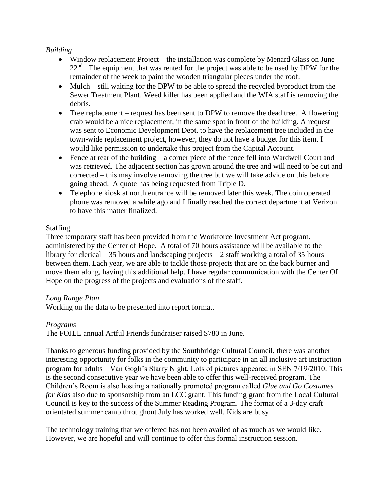### *Building*

- Window replacement Project the installation was complete by Menard Glass on June  $22<sup>nd</sup>$ . The equipment that was rented for the project was able to be used by DPW for the remainder of the week to paint the wooden triangular pieces under the roof.
- Mulch still waiting for the DPW to be able to spread the recycled byproduct from the Sewer Treatment Plant. Weed killer has been applied and the WIA staff is removing the debris.
- Tree replacement request has been sent to DPW to remove the dead tree. A flowering crab would be a nice replacement, in the same spot in front of the building. A request was sent to Economic Development Dept. to have the replacement tree included in the town-wide replacement project, however, they do not have a budget for this item. I would like permission to undertake this project from the Capital Account.
- Fence at rear of the building a corner piece of the fence fell into Wardwell Court and was retrieved. The adjacent section has grown around the tree and will need to be cut and corrected – this may involve removing the tree but we will take advice on this before going ahead. A quote has being requested from Triple D.
- Telephone kiosk at north entrance will be removed later this week. The coin operated phone was removed a while ago and I finally reached the correct department at Verizon to have this matter finalized.

### Staffing

Three temporary staff has been provided from the Workforce Investment Act program, administered by the Center of Hope. A total of 70 hours assistance will be available to the library for clerical  $-35$  hours and landscaping projects  $-2$  staff working a total of 35 hours between them. Each year, we are able to tackle those projects that are on the back burner and move them along, having this additional help. I have regular communication with the Center Of Hope on the progress of the projects and evaluations of the staff.

## *Long Range Plan*

Working on the data to be presented into report format.

## *Programs*

The FOJEL annual Artful Friends fundraiser raised \$780 in June.

Thanks to generous funding provided by the Southbridge Cultural Council, there was another interesting opportunity for folks in the community to participate in an all inclusive art instruction program for adults – Van Gogh's Starry Night. Lots of pictures appeared in SEN 7/19/2010. This is the second consecutive year we have been able to offer this well-received program. The Children's Room is also hosting a nationally promoted program called *Glue and Go Costumes for Kids* also due to sponsorship from an LCC grant. This funding grant from the Local Cultural Council is key to the success of the Summer Reading Program. The format of a 3-day craft orientated summer camp throughout July has worked well. Kids are busy

The technology training that we offered has not been availed of as much as we would like. However, we are hopeful and will continue to offer this formal instruction session.